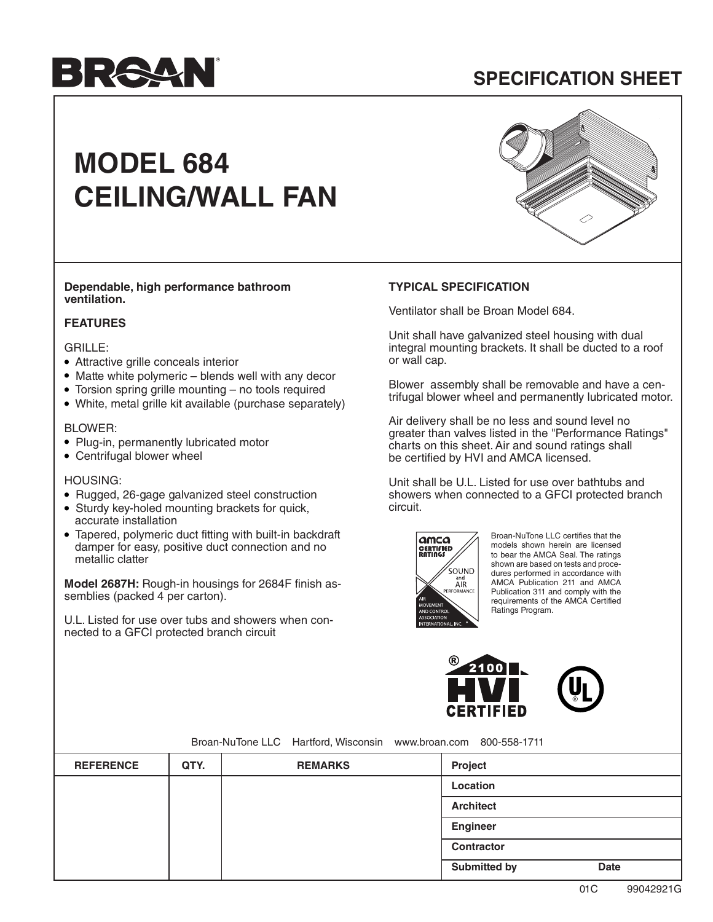# **BRAUT**

## **SPECIFICATION SHEET**

## **MODEL 684 CEILING/WALL FAN**



**Dependable, high performance bathroom ventilation.**

#### **FEATURES**

#### GRILLE:

- Attractive grille conceals interior
- Matte white polymeric blends well with any decor
- Torsion spring grille mounting no tools required
- White, metal grille kit available (purchase separately)

#### BLOWER:

- Plug-in, permanently lubricated motor
- Centrifugal blower wheel

#### HOUSING:

- Rugged, 26-gage galvanized steel construction
- Sturdy key-holed mounting brackets for quick, accurate installation
- Tapered, polymeric duct fitting with built-in backdraft damper for easy, positive duct connection and no metallic clatter

**Model 2687H:** Rough-in housings for 2684F finish assemblies (packed 4 per carton).

U.L. Listed for use over tubs and showers when connected to a GFCI protected branch circuit

#### **TYPICAL SPECIFICATION**

Ventilator shall be Broan Model 684.

Unit shall have galvanized steel housing with dual integral mounting brackets. It shall be ducted to a roof or wall cap.

Blower assembly shall be removable and have a centrifugal blower wheel and permanently lubricated motor.

Air delivery shall be no less and sound level no greater than valves listed in the "Performance Ratings" charts on this sheet. Air and sound ratings shall be certified by HVI and AMCA licensed.

Unit shall be U.L. Listed for use over bathtubs and showers when connected to a GFCI protected branch circuit.



Broan-NuTone LLC certifies that the models shown herein are licensed to bear the AMCA Seal. The ratings shown are based on tests and procedures performed in accordance with AMCA Publication 211 and AMCA Publication 311 and comply with the requirements of the AMCA Certified Ratings Program.





Broan-NuTone LLC Hartford, Wisconsin www.broan.com 800-558-1711

| <b>REFERENCE</b> | QTY. | <b>REMARKS</b> | Project             |             |
|------------------|------|----------------|---------------------|-------------|
|                  |      |                | Location            |             |
|                  |      |                | <b>Architect</b>    |             |
|                  |      |                | Engineer            |             |
|                  |      |                | Contractor          |             |
|                  |      |                | <b>Submitted by</b> | <b>Date</b> |